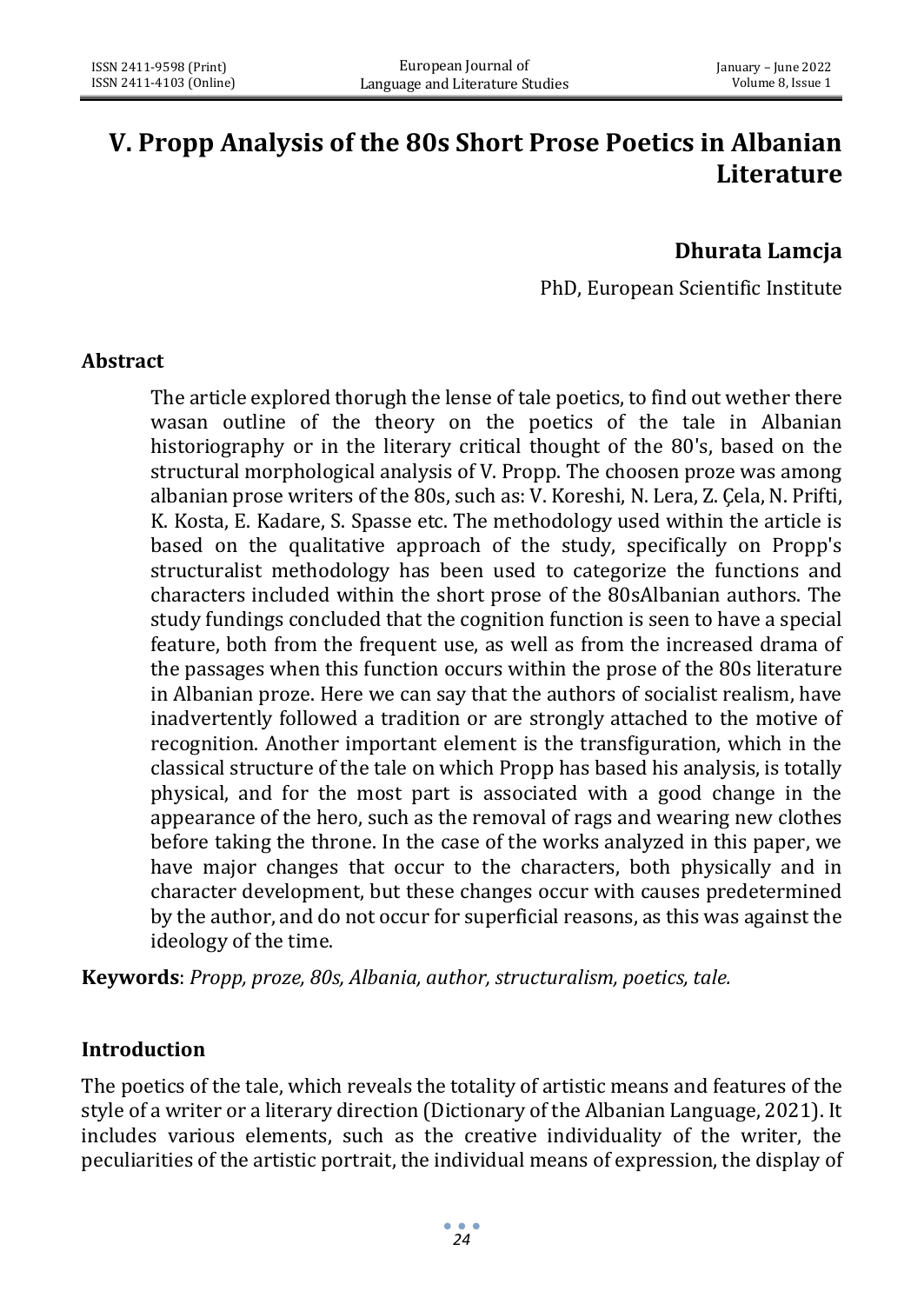# **V. Propp Analysis of the 80s Short Prose Poetics in Albanian Literature**

## **Dhurata Lamcja**

PhD, European Scientific Institute

### **Abstract**

The article explored thorugh the lense of tale poetics, to find out wether there wasan outline of the theory on the poetics of the tale in Albanian historiography or in the literary critical thought of the 80's, based on the structural morphological analysis of V. Propp. The choosen proze was among albanian prose writers of the 80s, such as: V. Koreshi, N. Lera, Z. Çela, N. Prifti, K. Kosta, E. Kadare, S. Spasse etc. The methodology used within the article is based on the qualitative approach of the study, specifically on Propp's structuralist methodology has been used to categorize the functions and characters included within the short prose of the 80sAlbanian authors. The study fundings concluded that the cognition function is seen to have a special feature, both from the frequent use, as well as from the increased drama of the passages when this function occurs within the prose of the 80s literature in Albanian proze. Here we can say that the authors of socialist realism, have inadvertently followed a tradition or are strongly attached to the motive of recognition. Another important element is the transfiguration, which in the classical structure of the tale on which Propp has based his analysis, is totally physical, and for the most part is associated with a good change in the appearance of the hero, such as the removal of rags and wearing new clothes before taking the throne. In the case of the works analyzed in this paper, we have major changes that occur to the characters, both physically and in character development, but these changes occur with causes predetermined by the author, and do not occur for superficial reasons, as this was against the ideology of the time.

**Keywords**: *Propp, proze, 80s, Albania, author, structuralism, poetics, tale.* 

### **Introduction**

The poetics of the tale, which reveals the totality of artistic means and features of the style of a writer or a literary direction (Dictionary of the Albanian Language, 2021). It includes various elements, such as the creative individuality of the writer, the peculiarities of the artistic portrait, the individual means of expression, the display of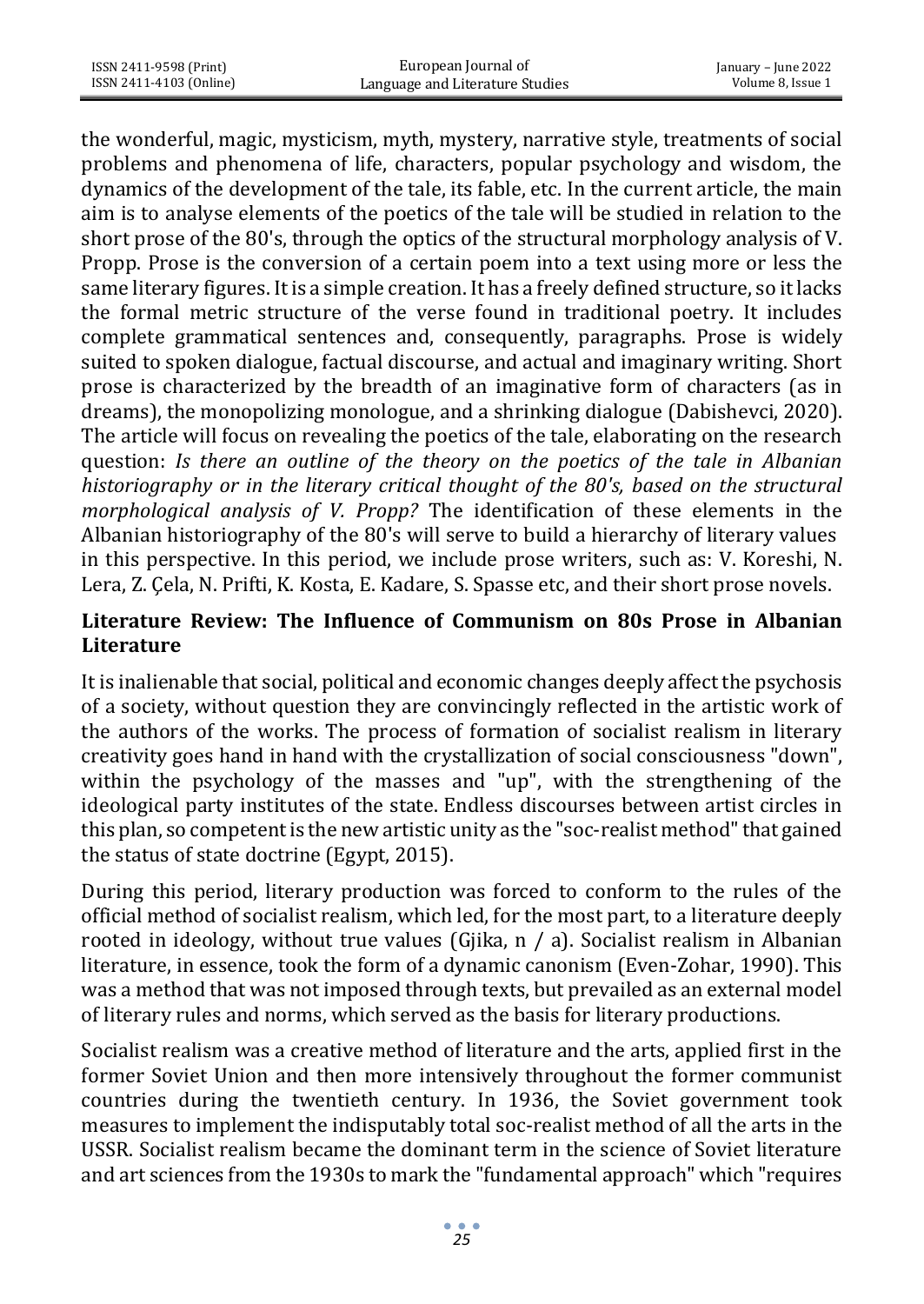the wonderful, magic, mysticism, myth, mystery, narrative style, treatments of social problems and phenomena of life, characters, popular psychology and wisdom, the dynamics of the development of the tale, its fable, etc. In the current article, the main aim is to analyse elements of the poetics of the tale will be studied in relation to the short prose of the 80's, through the optics of the structural morphology analysis of V. Propp. Prose is the conversion of a certain poem into a text using more or less the same literary figures. It is a simple creation. It has a freely defined structure, so it lacks the formal metric structure of the verse found in traditional poetry. It includes complete grammatical sentences and, consequently, paragraphs. Prose is widely suited to spoken dialogue, factual discourse, and actual and imaginary writing. Short prose is characterized by the breadth of an imaginative form of characters (as in dreams), the monopolizing monologue, and a shrinking dialogue (Dabishevci, 2020). The article will focus on revealing the poetics of the tale, elaborating on the research question: *Is there an outline of the theory on the poetics of the tale in Albanian historiography or in the literary critical thought of the 80's, based on the structural morphological analysis of V. Propp?* The identification of these elements in the Albanian historiography of the 80's will serve to build a hierarchy of literary values in this perspective. In this period, we include prose writers, such as: V. Koreshi, N. Lera, Z. Çela, N. Prifti, K. Kosta, E. Kadare, S. Spasse etc, and their short prose novels.

## **Literature Review: The Influence of Communism on 80s Prose in Albanian Literature**

It is inalienable that social, political and economic changes deeply affect the psychosis of a society, without question they are convincingly reflected in the artistic work of the authors of the works. The process of formation of socialist realism in literary creativity goes hand in hand with the crystallization of social consciousness "down", within the psychology of the masses and "up", with the strengthening of the ideological party institutes of the state. Endless discourses between artist circles in this plan, so competent is the new artistic unity as the "soc-realist method" that gained the status of state doctrine (Egypt, 2015).

During this period, literary production was forced to conform to the rules of the official method of socialist realism, which led, for the most part, to a literature deeply rooted in ideology, without true values (Gjika, n / a). Socialist realism in Albanian literature, in essence, took the form of a dynamic canonism (Even-Zohar, 1990). This was a method that was not imposed through texts, but prevailed as an external model of literary rules and norms, which served as the basis for literary productions.

Socialist realism was a creative method of literature and the arts, applied first in the former Soviet Union and then more intensively throughout the former communist countries during the twentieth century. In 1936, the Soviet government took measures to implement the indisputably total soc-realist method of all the arts in the USSR. Socialist realism became the dominant term in the science of Soviet literature and art sciences from the 1930s to mark the "fundamental approach" which "requires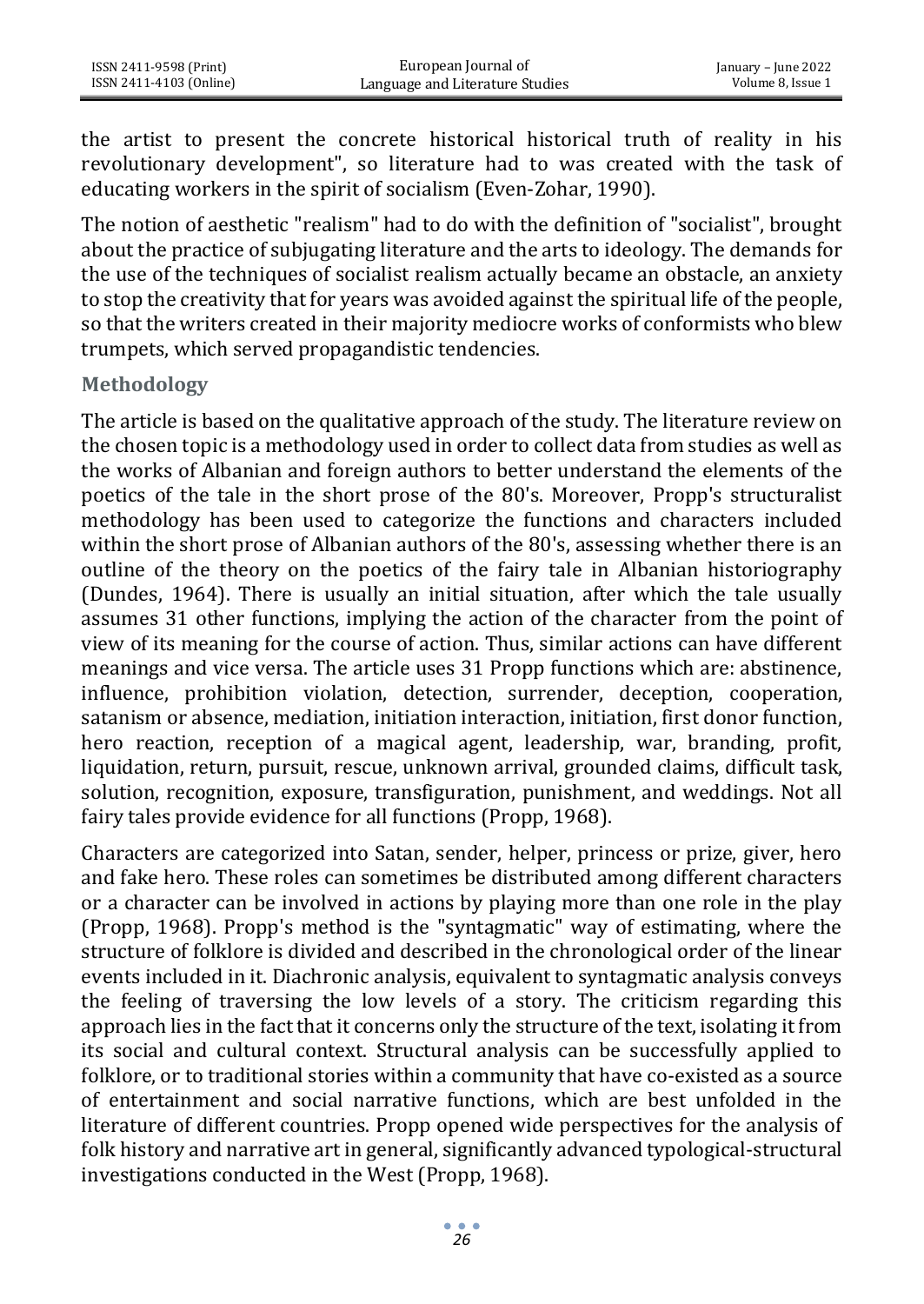the artist to present the concrete historical historical truth of reality in his revolutionary development", so literature had to was created with the task of educating workers in the spirit of socialism (Even-Zohar, 1990).

The notion of aesthetic "realism" had to do with the definition of "socialist", brought about the practice of subjugating literature and the arts to ideology. The demands for the use of the techniques of socialist realism actually became an obstacle, an anxiety to stop the creativity that for years was avoided against the spiritual life of the people, so that the writers created in their majority mediocre works of conformists who blew trumpets, which served propagandistic tendencies.

#### **Methodology**

The article is based on the qualitative approach of the study. The literature review on the chosen topic is a methodology used in order to collect data from studies as well as the works of Albanian and foreign authors to better understand the elements of the poetics of the tale in the short prose of the 80's. Moreover, Propp's structuralist methodology has been used to categorize the functions and characters included within the short prose of Albanian authors of the 80's, assessing whether there is an outline of the theory on the poetics of the fairy tale in Albanian historiography (Dundes, 1964). There is usually an initial situation, after which the tale usually assumes 31 other functions, implying the action of the character from the point of view of its meaning for the course of action. Thus, similar actions can have different meanings and vice versa. The article uses 31 Propp functions which are: abstinence, influence, prohibition violation, detection, surrender, deception, cooperation, satanism or absence, mediation, initiation interaction, initiation, first donor function, hero reaction, reception of a magical agent, leadership, war, branding, profit, liquidation, return, pursuit, rescue, unknown arrival, grounded claims, difficult task, solution, recognition, exposure, transfiguration, punishment, and weddings. Not all fairy tales provide evidence for all functions (Propp, 1968).

Characters are categorized into Satan, sender, helper, princess or prize, giver, hero and fake hero. These roles can sometimes be distributed among different characters or a character can be involved in actions by playing more than one role in the play (Propp, 1968). Propp's method is the "syntagmatic" way of estimating, where the structure of folklore is divided and described in the chronological order of the linear events included in it. Diachronic analysis, equivalent to syntagmatic analysis conveys the feeling of traversing the low levels of a story. The criticism regarding this approach lies in the fact that it concerns only the structure of the text, isolating it from its social and cultural context. Structural analysis can be successfully applied to folklore, or to traditional stories within a community that have co-existed as a source of entertainment and social narrative functions, which are best unfolded in the literature of different countries. Propp opened wide perspectives for the analysis of folk history and narrative art in general, significantly advanced typological-structural investigations conducted in the West (Propp, 1968).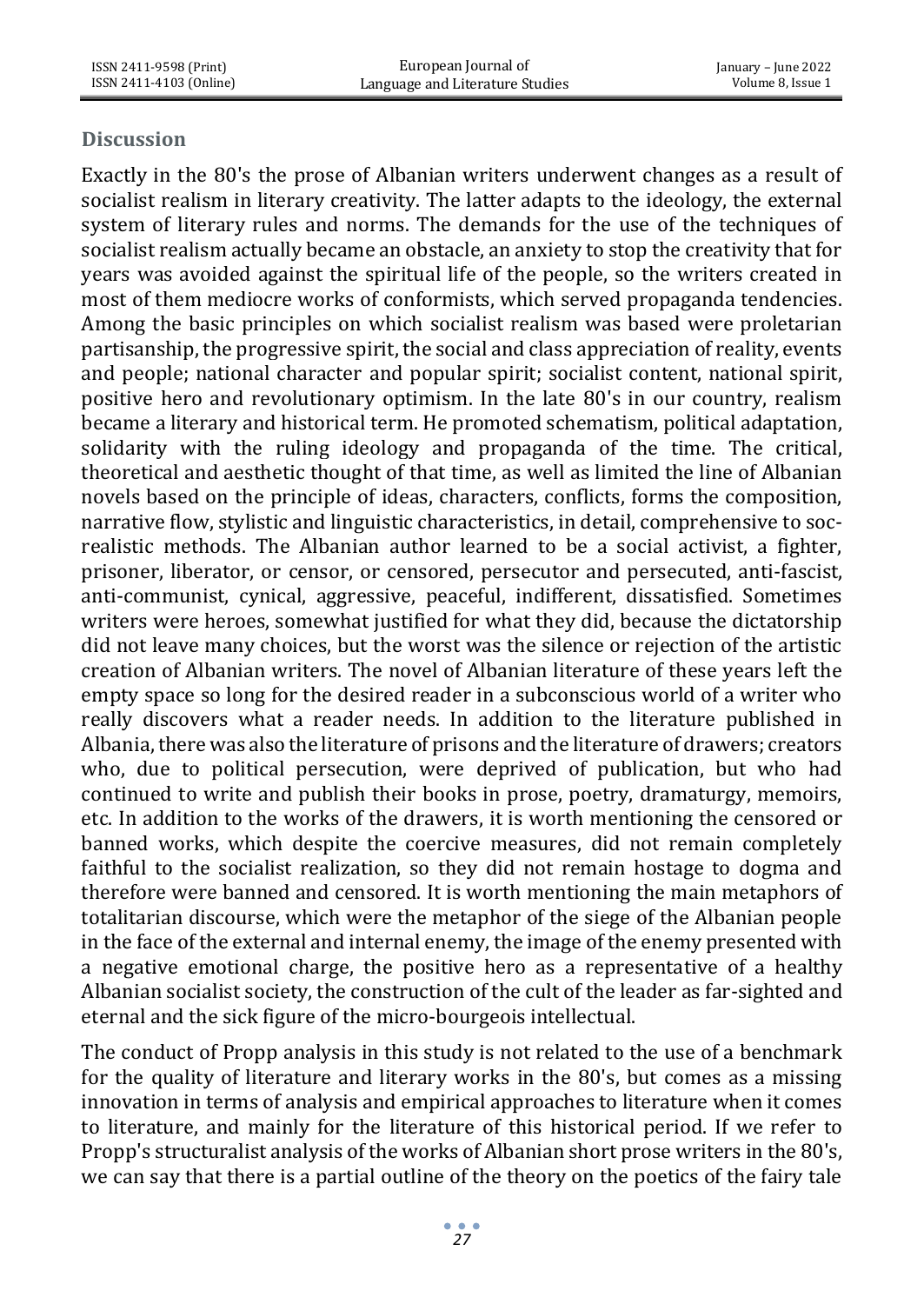### **Discussion**

Exactly in the 80's the prose of Albanian writers underwent changes as a result of socialist realism in literary creativity. The latter adapts to the ideology, the external system of literary rules and norms. The demands for the use of the techniques of socialist realism actually became an obstacle, an anxiety to stop the creativity that for years was avoided against the spiritual life of the people, so the writers created in most of them mediocre works of conformists, which served propaganda tendencies. Among the basic principles on which socialist realism was based were proletarian partisanship, the progressive spirit, the social and class appreciation of reality, events and people; national character and popular spirit; socialist content, national spirit, positive hero and revolutionary optimism. In the late 80's in our country, realism became a literary and historical term. He promoted schematism, political adaptation, solidarity with the ruling ideology and propaganda of the time. The critical, theoretical and aesthetic thought of that time, as well as limited the line of Albanian novels based on the principle of ideas, characters, conflicts, forms the composition, narrative flow, stylistic and linguistic characteristics, in detail, comprehensive to socrealistic methods. The Albanian author learned to be a social activist, a fighter, prisoner, liberator, or censor, or censored, persecutor and persecuted, anti-fascist, anti-communist, cynical, aggressive, peaceful, indifferent, dissatisfied. Sometimes writers were heroes, somewhat justified for what they did, because the dictatorship did not leave many choices, but the worst was the silence or rejection of the artistic creation of Albanian writers. The novel of Albanian literature of these years left the empty space so long for the desired reader in a subconscious world of a writer who really discovers what a reader needs. In addition to the literature published in Albania, there was also the literature of prisons and the literature of drawers; creators who, due to political persecution, were deprived of publication, but who had continued to write and publish their books in prose, poetry, dramaturgy, memoirs, etc. In addition to the works of the drawers, it is worth mentioning the censored or banned works, which despite the coercive measures, did not remain completely faithful to the socialist realization, so they did not remain hostage to dogma and therefore were banned and censored. It is worth mentioning the main metaphors of totalitarian discourse, which were the metaphor of the siege of the Albanian people in the face of the external and internal enemy, the image of the enemy presented with a negative emotional charge, the positive hero as a representative of a healthy Albanian socialist society, the construction of the cult of the leader as far-sighted and eternal and the sick figure of the micro-bourgeois intellectual.

The conduct of Propp analysis in this study is not related to the use of a benchmark for the quality of literature and literary works in the 80's, but comes as a missing innovation in terms of analysis and empirical approaches to literature when it comes to literature, and mainly for the literature of this historical period. If we refer to Propp's structuralist analysis of the works of Albanian short prose writers in the 80's, we can say that there is a partial outline of the theory on the poetics of the fairy tale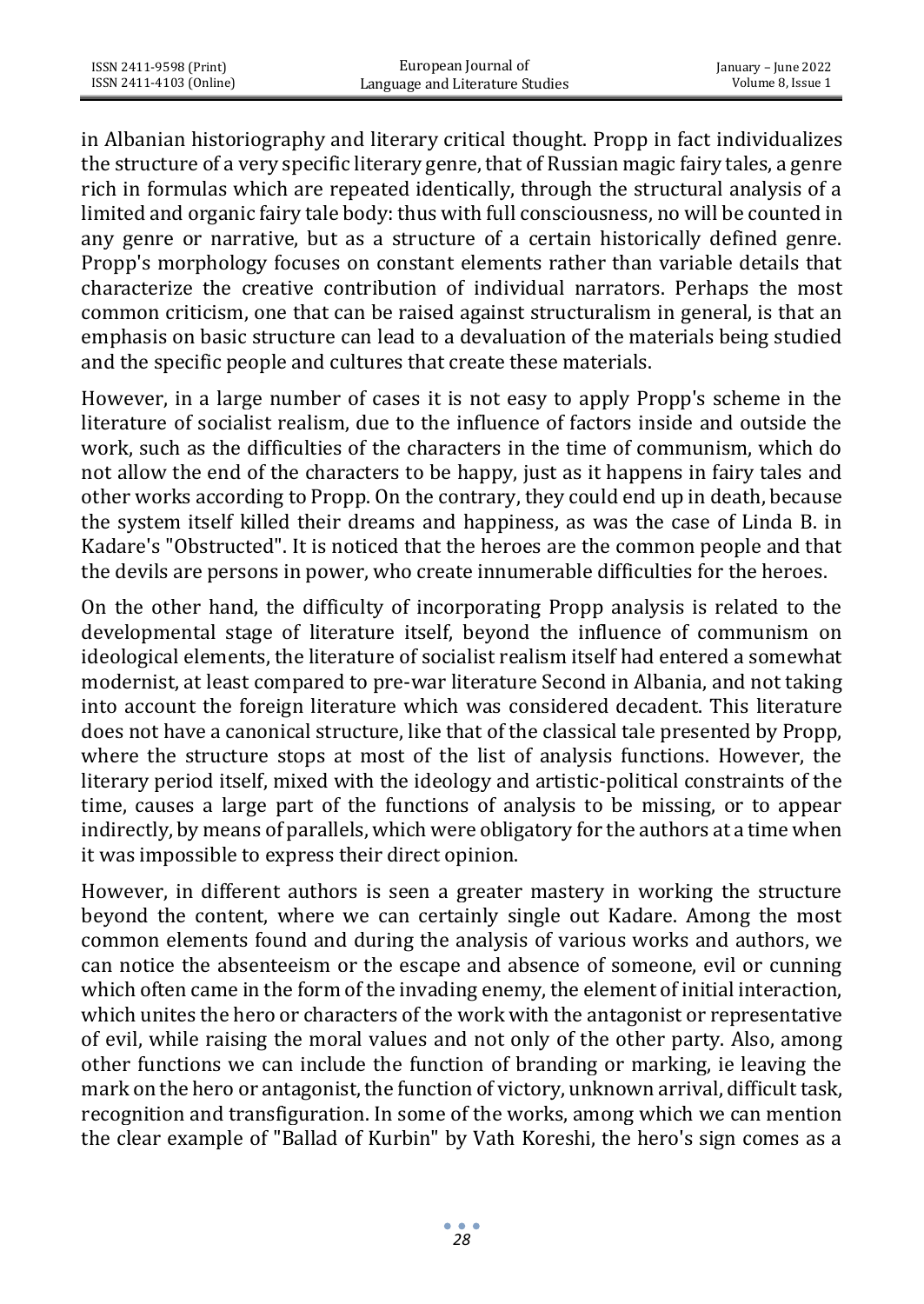in Albanian historiography and literary critical thought. Propp in fact individualizes the structure of a very specific literary genre, that of Russian magic fairy tales, a genre rich in formulas which are repeated identically, through the structural analysis of a limited and organic fairy tale body: thus with full consciousness, no will be counted in any genre or narrative, but as a structure of a certain historically defined genre. Propp's morphology focuses on constant elements rather than variable details that characterize the creative contribution of individual narrators. Perhaps the most common criticism, one that can be raised against structuralism in general, is that an emphasis on basic structure can lead to a devaluation of the materials being studied and the specific people and cultures that create these materials.

However, in a large number of cases it is not easy to apply Propp's scheme in the literature of socialist realism, due to the influence of factors inside and outside the work, such as the difficulties of the characters in the time of communism, which do not allow the end of the characters to be happy, just as it happens in fairy tales and other works according to Propp. On the contrary, they could end up in death, because the system itself killed their dreams and happiness, as was the case of Linda B. in Kadare's "Obstructed". It is noticed that the heroes are the common people and that the devils are persons in power, who create innumerable difficulties for the heroes.

On the other hand, the difficulty of incorporating Propp analysis is related to the developmental stage of literature itself, beyond the influence of communism on ideological elements, the literature of socialist realism itself had entered a somewhat modernist, at least compared to pre-war literature Second in Albania, and not taking into account the foreign literature which was considered decadent. This literature does not have a canonical structure, like that of the classical tale presented by Propp, where the structure stops at most of the list of analysis functions. However, the literary period itself, mixed with the ideology and artistic-political constraints of the time, causes a large part of the functions of analysis to be missing, or to appear indirectly, by means of parallels, which were obligatory for the authors at a time when it was impossible to express their direct opinion.

However, in different authors is seen a greater mastery in working the structure beyond the content, where we can certainly single out Kadare. Among the most common elements found and during the analysis of various works and authors, we can notice the absenteeism or the escape and absence of someone, evil or cunning which often came in the form of the invading enemy, the element of initial interaction, which unites the hero or characters of the work with the antagonist or representative of evil, while raising the moral values and not only of the other party. Also, among other functions we can include the function of branding or marking, ie leaving the mark on the hero or antagonist, the function of victory, unknown arrival, difficult task, recognition and transfiguration. In some of the works, among which we can mention the clear example of "Ballad of Kurbin" by Vath Koreshi, the hero's sign comes as a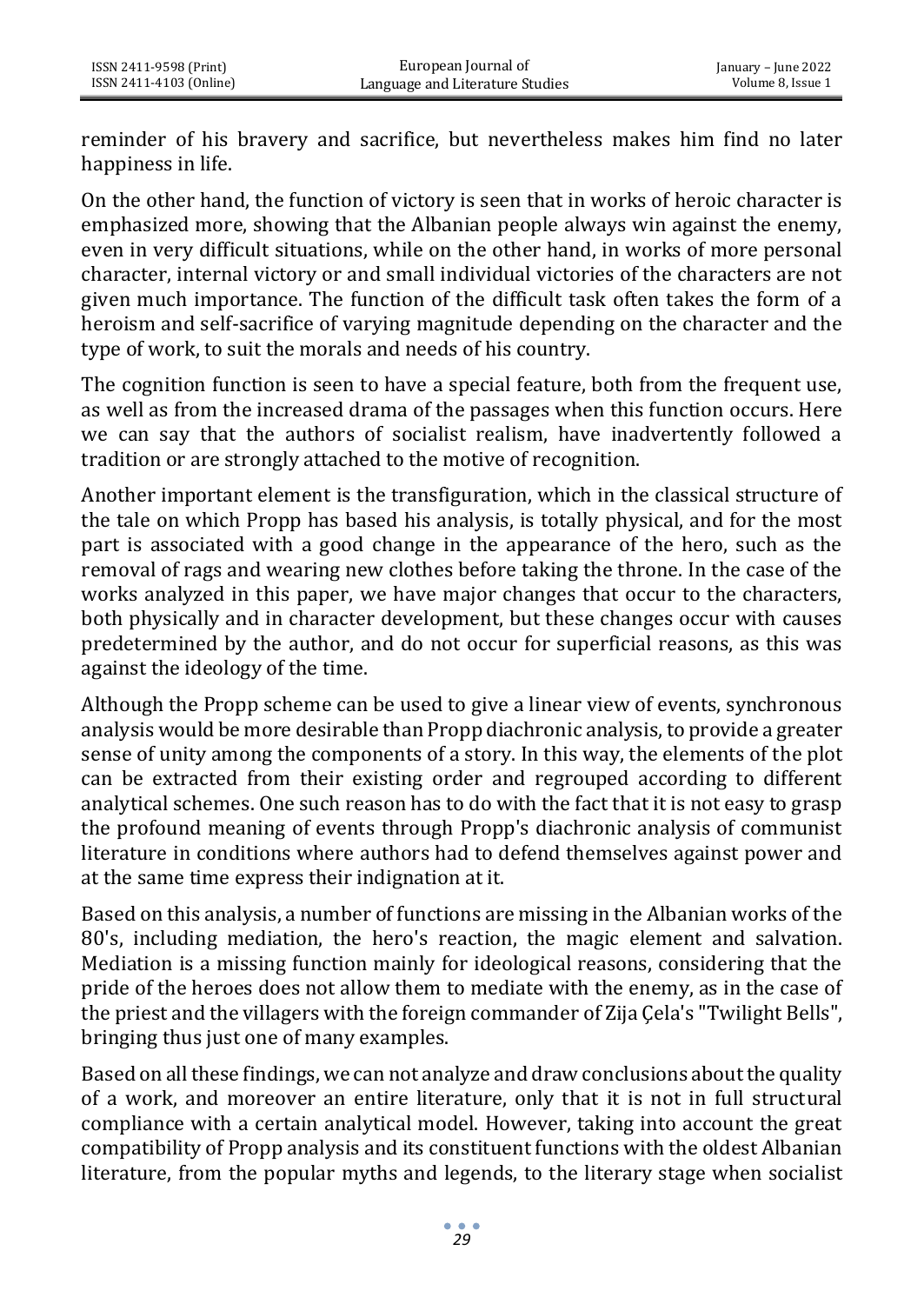reminder of his bravery and sacrifice, but nevertheless makes him find no later happiness in life.

On the other hand, the function of victory is seen that in works of heroic character is emphasized more, showing that the Albanian people always win against the enemy, even in very difficult situations, while on the other hand, in works of more personal character, internal victory or and small individual victories of the characters are not given much importance. The function of the difficult task often takes the form of a heroism and self-sacrifice of varying magnitude depending on the character and the type of work, to suit the morals and needs of his country.

The cognition function is seen to have a special feature, both from the frequent use, as well as from the increased drama of the passages when this function occurs. Here we can say that the authors of socialist realism, have inadvertently followed a tradition or are strongly attached to the motive of recognition.

Another important element is the transfiguration, which in the classical structure of the tale on which Propp has based his analysis, is totally physical, and for the most part is associated with a good change in the appearance of the hero, such as the removal of rags and wearing new clothes before taking the throne. In the case of the works analyzed in this paper, we have major changes that occur to the characters, both physically and in character development, but these changes occur with causes predetermined by the author, and do not occur for superficial reasons, as this was against the ideology of the time.

Although the Propp scheme can be used to give a linear view of events, synchronous analysis would be more desirable than Propp diachronic analysis, to provide a greater sense of unity among the components of a story. In this way, the elements of the plot can be extracted from their existing order and regrouped according to different analytical schemes. One such reason has to do with the fact that it is not easy to grasp the profound meaning of events through Propp's diachronic analysis of communist literature in conditions where authors had to defend themselves against power and at the same time express their indignation at it.

Based on this analysis, a number of functions are missing in the Albanian works of the 80's, including mediation, the hero's reaction, the magic element and salvation. Mediation is a missing function mainly for ideological reasons, considering that the pride of the heroes does not allow them to mediate with the enemy, as in the case of the priest and the villagers with the foreign commander of Zija Çela's "Twilight Bells", bringing thus just one of many examples.

Based on all these findings, we can not analyze and draw conclusions about the quality of a work, and moreover an entire literature, only that it is not in full structural compliance with a certain analytical model. However, taking into account the great compatibility of Propp analysis and its constituent functions with the oldest Albanian literature, from the popular myths and legends, to the literary stage when socialist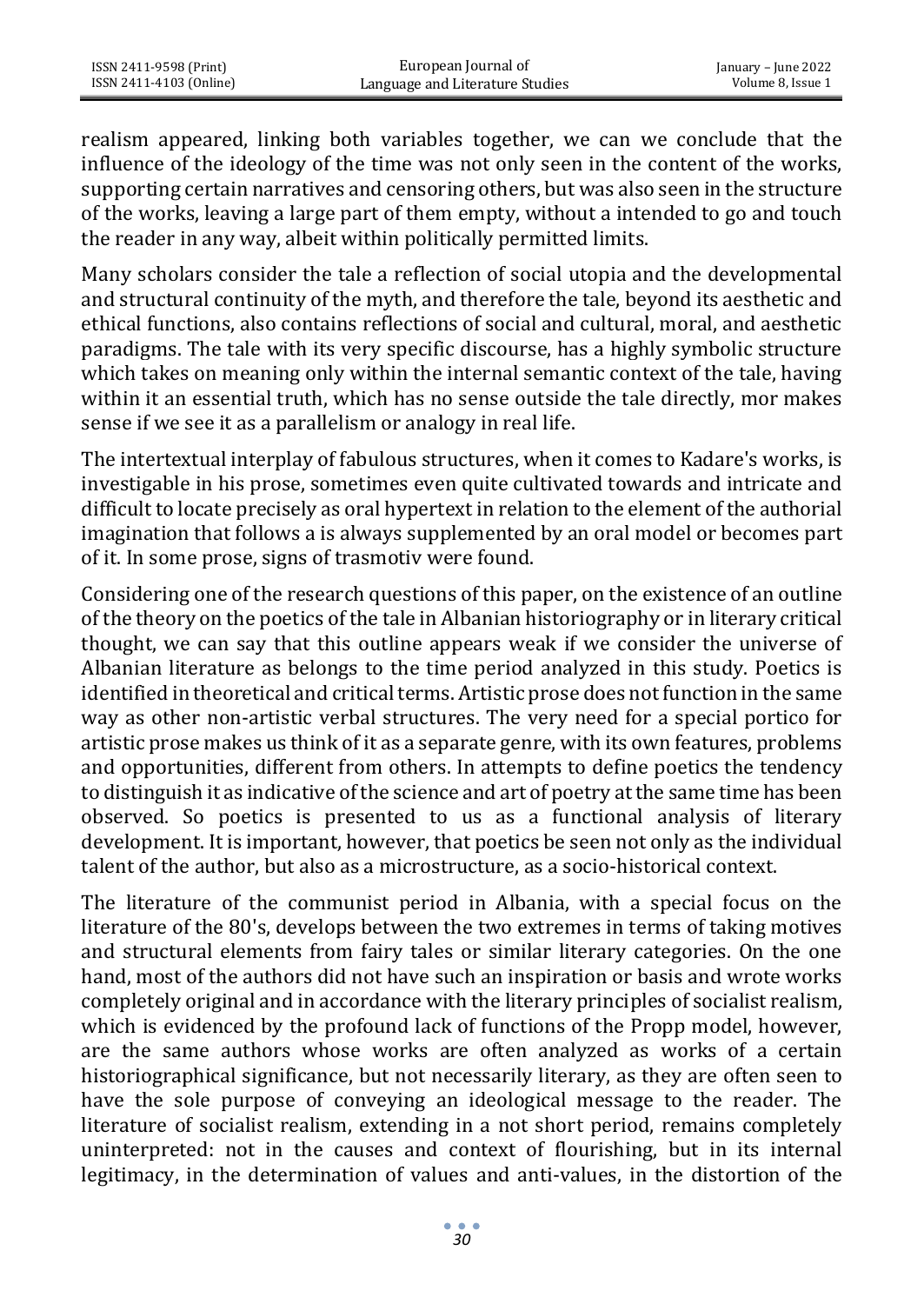ISSN 2411-9598 (Print) ISSN 2411-4103 (Online)

realism appeared, linking both variables together, we can we conclude that the influence of the ideology of the time was not only seen in the content of the works, supporting certain narratives and censoring others, but was also seen in the structure of the works, leaving a large part of them empty, without a intended to go and touch the reader in any way, albeit within politically permitted limits.

Many scholars consider the tale a reflection of social utopia and the developmental and structural continuity of the myth, and therefore the tale, beyond its aesthetic and ethical functions, also contains reflections of social and cultural, moral, and aesthetic paradigms. The tale with its very specific discourse, has a highly symbolic structure which takes on meaning only within the internal semantic context of the tale, having within it an essential truth, which has no sense outside the tale directly, mor makes sense if we see it as a parallelism or analogy in real life.

The intertextual interplay of fabulous structures, when it comes to Kadare's works, is investigable in his prose, sometimes even quite cultivated towards and intricate and difficult to locate precisely as oral hypertext in relation to the element of the authorial imagination that follows a is always supplemented by an oral model or becomes part of it. In some prose, signs of trasmotiv were found.

Considering one of the research questions of this paper, on the existence of an outline of the theory on the poetics of the tale in Albanian historiography or in literary critical thought, we can say that this outline appears weak if we consider the universe of Albanian literature as belongs to the time period analyzed in this study. Poetics is identified in theoretical and critical terms. Artistic prose does not function in the same way as other non-artistic verbal structures. The very need for a special portico for artistic prose makes us think of it as a separate genre, with its own features, problems and opportunities, different from others. In attempts to define poetics the tendency to distinguish it as indicative of the science and art of poetry at the same time has been observed. So poetics is presented to us as a functional analysis of literary development. It is important, however, that poetics be seen not only as the individual talent of the author, but also as a microstructure, as a socio-historical context.

The literature of the communist period in Albania, with a special focus on the literature of the 80's, develops between the two extremes in terms of taking motives and structural elements from fairy tales or similar literary categories. On the one hand, most of the authors did not have such an inspiration or basis and wrote works completely original and in accordance with the literary principles of socialist realism, which is evidenced by the profound lack of functions of the Propp model, however, are the same authors whose works are often analyzed as works of a certain historiographical significance, but not necessarily literary, as they are often seen to have the sole purpose of conveying an ideological message to the reader. The literature of socialist realism, extending in a not short period, remains completely uninterpreted: not in the causes and context of flourishing, but in its internal legitimacy, in the determination of values and anti-values, in the distortion of the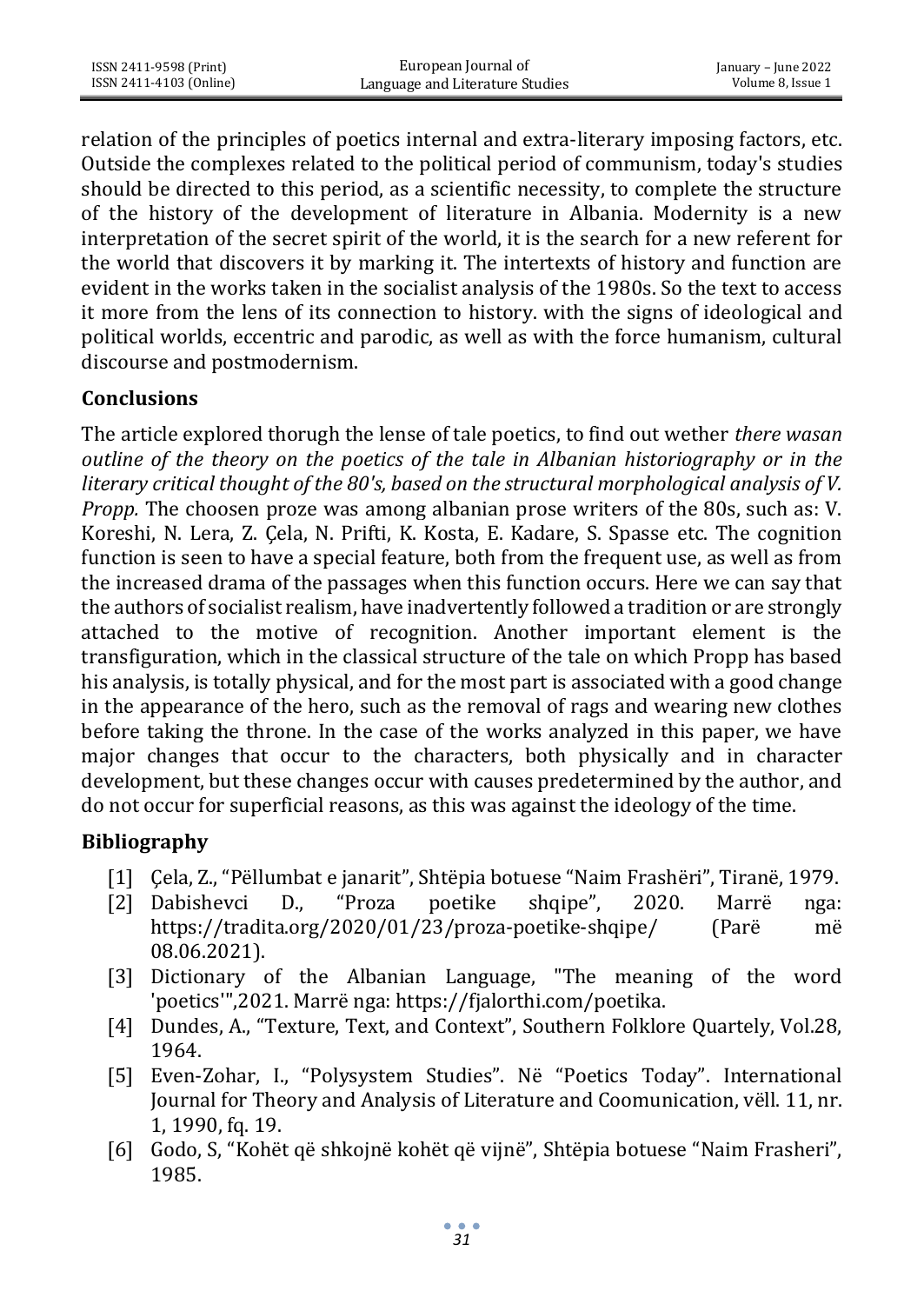relation of the principles of poetics internal and extra-literary imposing factors, etc. Outside the complexes related to the political period of communism, today's studies should be directed to this period, as a scientific necessity, to complete the structure of the history of the development of literature in Albania. Modernity is a new interpretation of the secret spirit of the world, it is the search for a new referent for the world that discovers it by marking it. The intertexts of history and function are evident in the works taken in the socialist analysis of the 1980s. So the text to access it more from the lens of its connection to history. with the signs of ideological and political worlds, eccentric and parodic, as well as with the force humanism, cultural discourse and postmodernism.

## **Conclusions**

The article explored thorugh the lense of tale poetics, to find out wether *there wasan outline of the theory on the poetics of the tale in Albanian historiography or in the literary critical thought of the 80's, based on the structural morphological analysis of V. Propp.* The choosen proze was among albanian prose writers of the 80s, such as: V. Koreshi, N. Lera, Z. Çela, N. Prifti, K. Kosta, E. Kadare, S. Spasse etc. The cognition function is seen to have a special feature, both from the frequent use, as well as from the increased drama of the passages when this function occurs. Here we can say that the authors of socialist realism, have inadvertently followed a tradition or are strongly attached to the motive of recognition. Another important element is the transfiguration, which in the classical structure of the tale on which Propp has based his analysis, is totally physical, and for the most part is associated with a good change in the appearance of the hero, such as the removal of rags and wearing new clothes before taking the throne. In the case of the works analyzed in this paper, we have major changes that occur to the characters, both physically and in character development, but these changes occur with causes predetermined by the author, and do not occur for superficial reasons, as this was against the ideology of the time.

## **Bibliography**

- [1] Çela, Z., "Pëllumbat e janarit", Shtëpia botuese "Naim Frashëri", Tiranë, 1979.
- [2] Dabishevci D., "Proza poetike shqipe", 2020. Marrë nga: https://tradita.org/2020/01/23/proza-poetike-shqipe/ (Parë më 08.06.2021).
- [3] Dictionary of the Albanian Language, "The meaning of the word 'poetics'",2021. Marrë nga: https://fjalorthi.com/poetika.
- [4] Dundes, A., "Texture, Text, and Context", Southern Folklore Quartely, Vol.28, 1964.
- [5] Even-Zohar, I., "Polysystem Studies". Në "Poetics Today". International Journal for Theory and Analysis of Literature and Coomunication, vëll. 11, nr. 1, 1990, fq. 19.
- [6] Godo, S, "Kohët që shkojnë kohët që vijnë", Shtëpia botuese "Naim Frasheri", 1985.